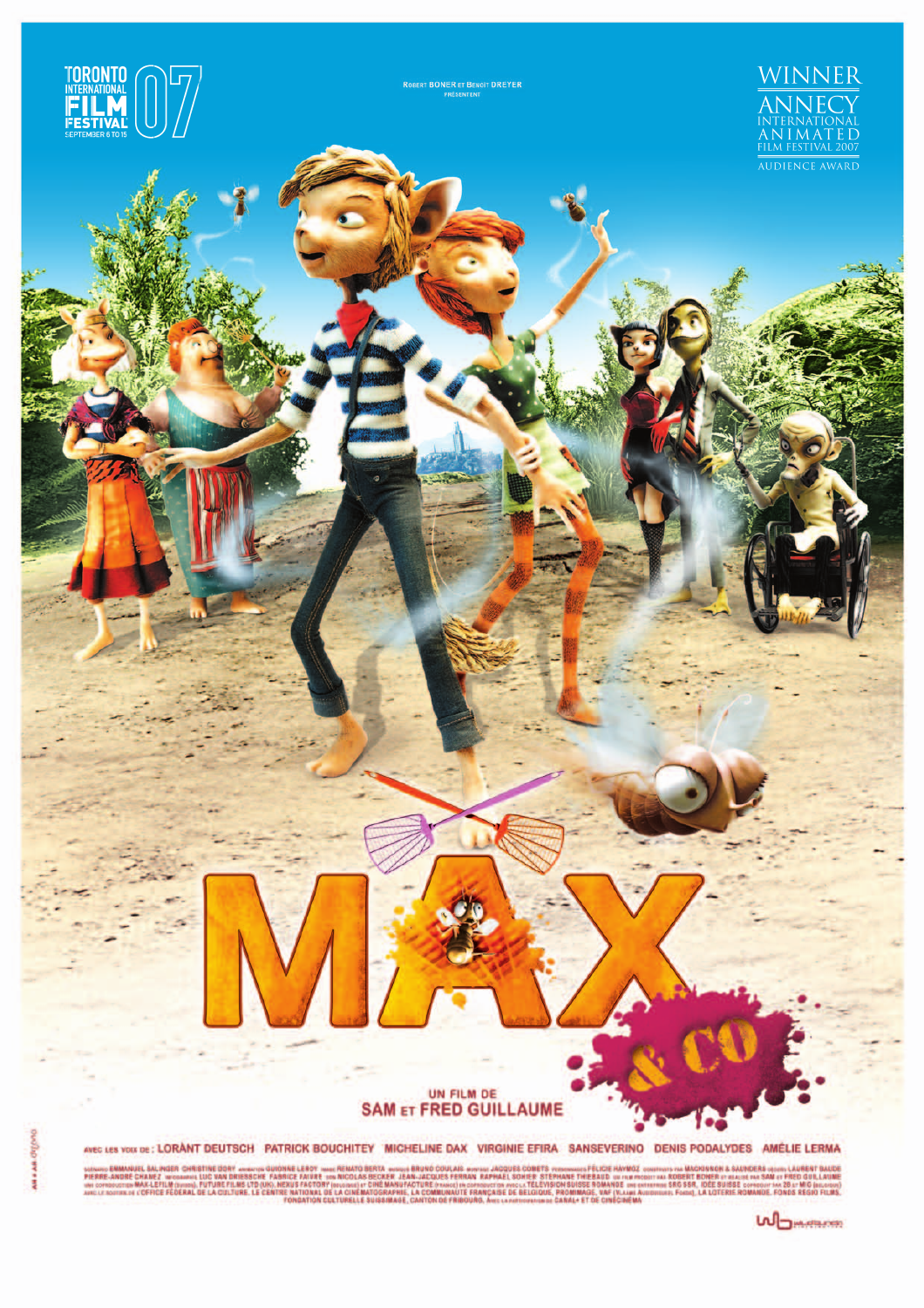

USING SALINGER CHESTINE DORY ANNOUGE LEOT THE END TO REMATO BERTA MUNIC COULAIS ANNOUGES COMETS VENNAMES FOR MANIOUS ANY MOL COMERCHANGE STATE AND A MANUS COMERCHANGER AND A MANUS COMERCHANGE ON A MANUS COMERCHANGER AND A

**WOMANA**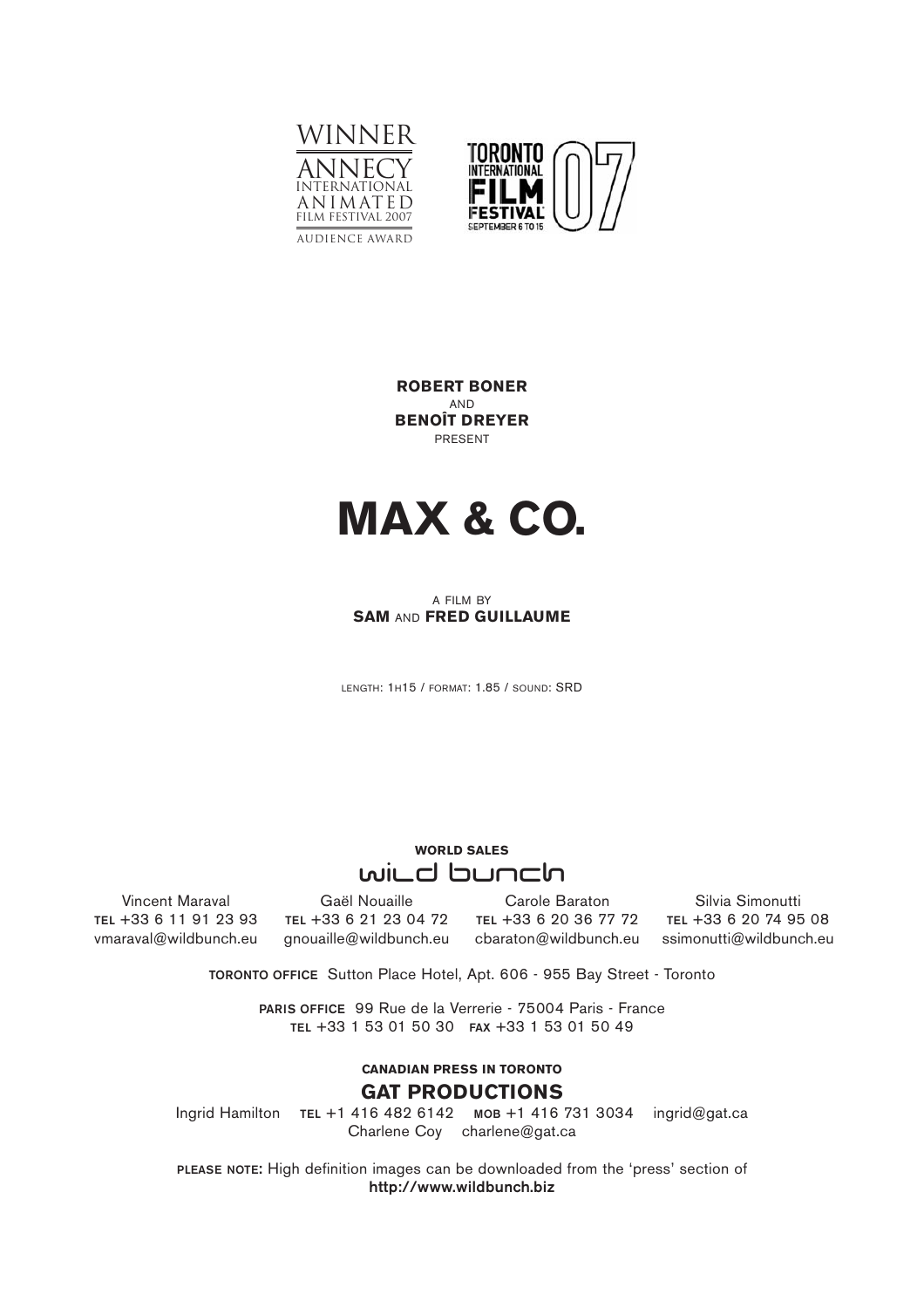



**ROBERT BONER** AND **BENOÎT DREYER** PRESENT



#### A FILM BY **SAM** AND **FRED GUILLAUME**

LENGTH: 1H15 / FORMAT: 1.85 / SOUND: SRD

# **WORLD SALES**  wild bunch

Vincent Maraval **TEL** +33 6 11 91 23 93 vmaraval@wildbunch.eu

Gaël Nouaille **TEL** +33 6 21 23 04 72 gnouaille@wildbunch.eu

Carole Baraton **TEL** +33 6 20 36 77 72 cbaraton@wildbunch.eu

Silvia Simonutti **TEL** +33 6 20 74 95 08 ssimonutti@wildbunch.eu

**TORONTO OFFICE** Sutton Place Hotel, Apt. 606 - 955 Bay Street - Toronto

**PARIS OFFICE** 99 Rue de la Verrerie - 75004 Paris - France **TEL** +33 1 53 01 50 30 **FAX** +33 1 53 01 50 49

## **CANADIAN PRESS IN TORONTO GAT PRODUCTIONS**

Ingrid Hamilton **TEL** +1 416 482 6142 **MOB** +1 416 731 3034 ingrid@gat.ca Charlene Coy charlene@gat.ca

**PLEASE NOTE:** High definition images can be downloaded from the 'press' section of **http://www.wildbunch.biz**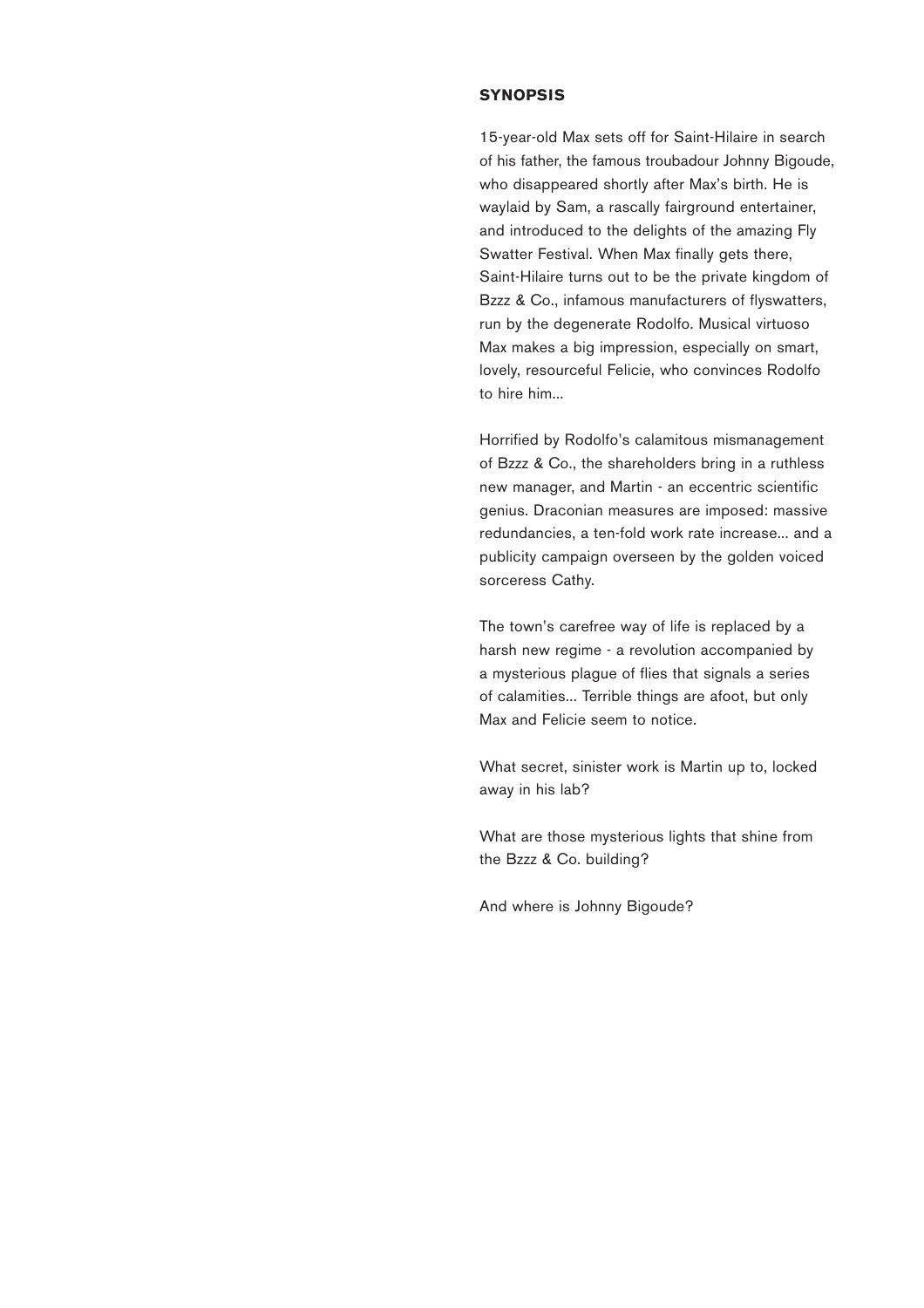#### **SYNOPSIS**

15-year-old Max sets off for Saint-Hilaire in search of his father, the famous troubadour Johnny Bigoude, who disappeared shortly after Max's birth. He is waylaid by Sam, a rascally fairground entertainer, and introduced to the delights of the amazing Fly Swatter Festival. When Max finally gets there, Saint-Hilaire turns out to be the private kingdom of Bzzz & Co., infamous manufacturers of flyswatters, run by the degenerate Rodolfo. Musical virtuoso Max makes a big impression, especially on smart, lovely, resourceful Felicie, who convinces Rodolfo to hire him...

Horrified by Rodolfo's calamitous mismanagement of Bzzz & Co., the shareholders bring in a ruthless new manager, and Martin - an eccentric scientific genius. Draconian measures are imposed: massive redundancies, a ten-fold work rate increase... and a publicity campaign overseen by the golden voiced sorceress Cathy.

The town's carefree way of life is replaced by a harsh new regime - a revolution accompanied by a mysterious plague of flies that signals a series of calamities... Terrible things are afoot, but only Max and Felicie seem to notice.

What secret, sinister work is Martin up to, locked away in his lab?

What are those mysterious lights that shine from the Bzzz & Co. building?

And where is Johnny Bigoude?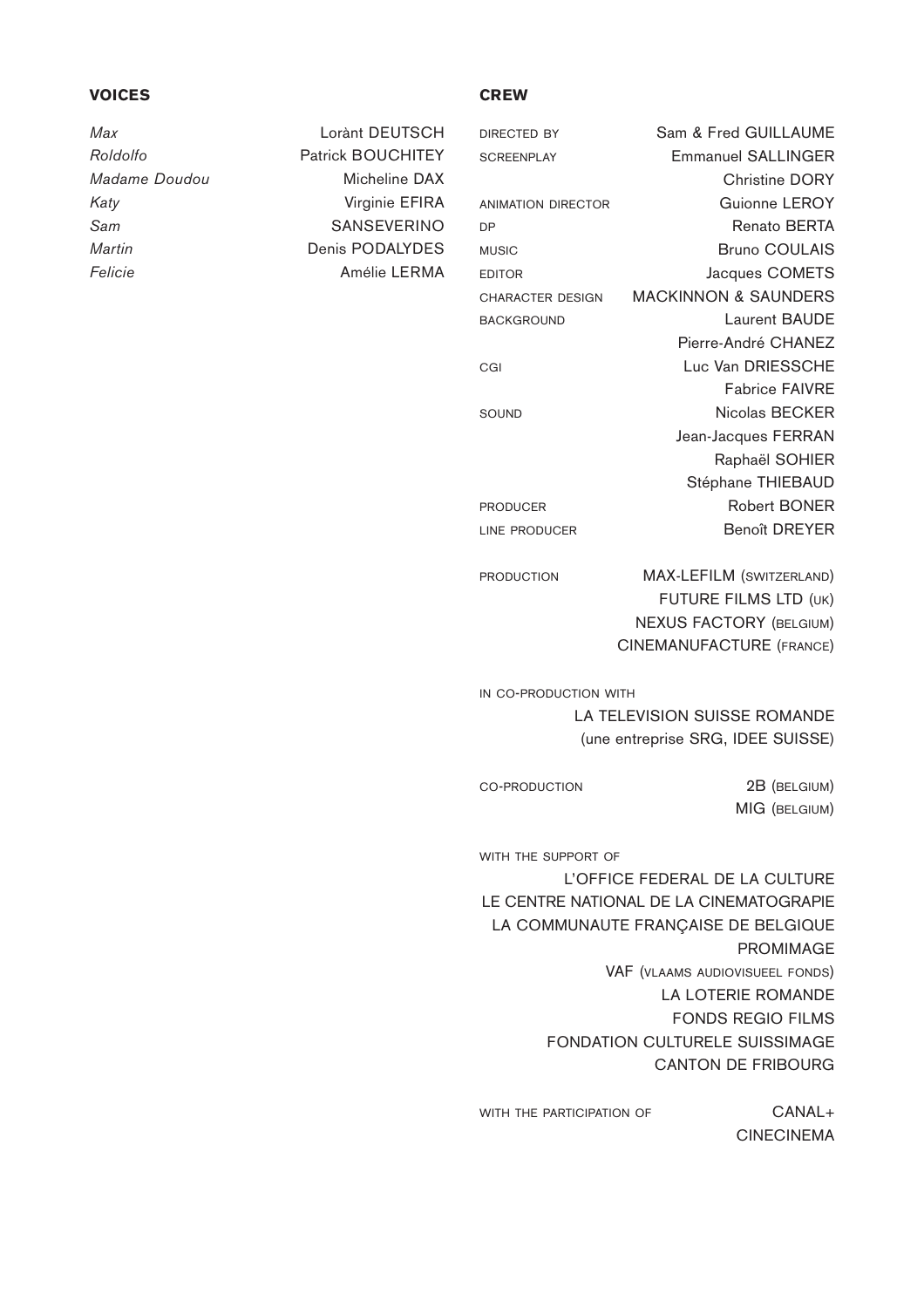## **VOICES**

*Max* Lorànt DEUTSCH

*Roldolfo* Patrick BOUCHITEY *Madame Doudou* Micheline DAX *Katy* Virginie EFIRA Sam SANSEVERINO *Martin* **Denis PODALYDES** *Felicie* Amélie LERMA

#### **CREW**

| DIRECTED BY        | Sam & Fred GUILLAUME            |
|--------------------|---------------------------------|
| <b>SCREENPLAY</b>  | <b>Emmanuel SALLINGER</b>       |
|                    | <b>Christine DORY</b>           |
| ANIMATION DIRECTOR | Guionne LEROY                   |
| DP                 | <b>Renato BERTA</b>             |
| <b>MUSIC</b>       | <b>Bruno COULAIS</b>            |
| EDITOR             | Jacques COMETS                  |
| CHARACTER DESIGN   | <b>MACKINNON &amp; SAUNDERS</b> |
| <b>BACKGROUND</b>  | Laurent BAUDE                   |
|                    | Pierre-André CHANEZ             |
| CGI                | Luc Van DRIESSCHE               |
|                    | <b>Fabrice FAIVRE</b>           |
| SOUND              | Nicolas BECKER                  |
|                    | Jean-Jacques FERRAN             |
|                    | Raphaël SOHIER                  |
|                    | Stéphane THIEBAUD               |
| <b>PRODUCER</b>    | <b>Robert BONER</b>             |
| LINE PRODUCER      | <b>Benoît DREYER</b>            |
|                    |                                 |

PRODUCTION MAX-LEFILM (SWITZERLAND) FUTURE FILMS LTD (UK) NEXUS FACTORY (BELGIUM) CINEMANUFACTURE (FRANCE)

MIG (BELGIUM)

IN CO-PRODUCTION WITH LA TELEVISION SUISSE ROMANDE (une entreprise SRG, IDEE SUISSE)

CO-PRODUCTION 2B (BELGIUM)

WITH THE SUPPORT OF L'OFFICE FEDERAL DE LA CULTURE LE CENTRE NATIONAL DE LA CINEMATOGRAPIE LA COMMUNAUTE FRANÇAISE DE BELGIQUE PROMIMAGE VAF (VLAAMS AUDIOVISUEEL FONDS) LA LOTERIE ROMANDE FONDS REGIO FILMS FONDATION CULTURELE SUISSIMAGE CANTON DE FRIBOURG

WITH THE PARTICIPATION OF **CANAL+** CINECINEMA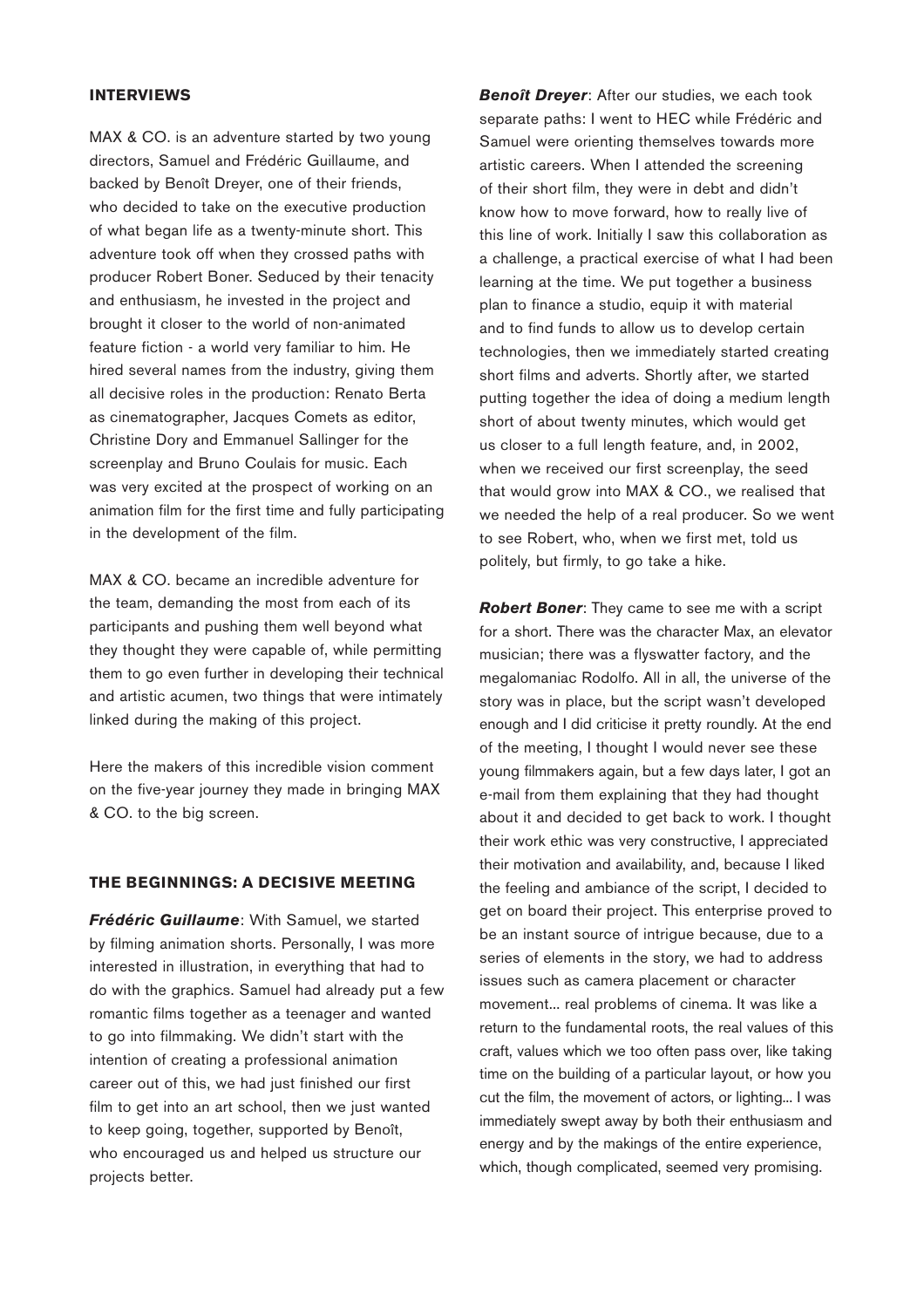### **INTERVIEWS**

MAX & CO. is an adventure started by two young directors, Samuel and Frédéric Guillaume, and backed by Benoît Dreyer, one of their friends, who decided to take on the executive production of what began life as a twenty-minute short. This adventure took off when they crossed paths with producer Robert Boner. Seduced by their tenacity and enthusiasm, he invested in the project and brought it closer to the world of non-animated feature fiction - a world very familiar to him. He hired several names from the industry, giving them all decisive roles in the production: Renato Berta as cinematographer, Jacques Comets as editor, Christine Dory and Emmanuel Sallinger for the screenplay and Bruno Coulais for music. Each was very excited at the prospect of working on an animation film for the first time and fully participating in the development of the film.

MAX & CO. became an incredible adventure for the team, demanding the most from each of its participants and pushing them well beyond what they thought they were capable of, while permitting them to go even further in developing their technical and artistic acumen, two things that were intimately linked during the making of this project.

Here the makers of this incredible vision comment on the five-year journey they made in bringing MAX & CO. to the big screen.

### **THE BEGINNINGS: A DECISIVE MEETING**

*Frédéric Guillaume*: With Samuel, we started by filming animation shorts. Personally, I was more interested in illustration, in everything that had to do with the graphics. Samuel had already put a few romantic films together as a teenager and wanted to go into filmmaking. We didn't start with the intention of creating a professional animation career out of this, we had just finished our first film to get into an art school, then we just wanted to keep going, together, supported by Benoît, who encouraged us and helped us structure our projects better.

*Benoît Dreyer*: After our studies, we each took separate paths: I went to HEC while Frédéric and Samuel were orienting themselves towards more artistic careers. When I attended the screening of their short film, they were in debt and didn't know how to move forward, how to really live of this line of work. Initially I saw this collaboration as a challenge, a practical exercise of what I had been learning at the time. We put together a business plan to finance a studio, equip it with material and to find funds to allow us to develop certain technologies, then we immediately started creating short films and adverts. Shortly after, we started putting together the idea of doing a medium length short of about twenty minutes, which would get us closer to a full length feature, and, in 2002, when we received our first screenplay, the seed that would grow into MAX & CO., we realised that we needed the help of a real producer. So we went to see Robert, who, when we first met, told us politely, but firmly, to go take a hike.

*Robert Boner*: They came to see me with a script for a short. There was the character Max, an elevator musician; there was a flyswatter factory, and the megalomaniac Rodolfo. All in all, the universe of the story was in place, but the script wasn't developed enough and I did criticise it pretty roundly. At the end of the meeting, I thought I would never see these young filmmakers again, but a few days later, I got an e-mail from them explaining that they had thought about it and decided to get back to work. I thought their work ethic was very constructive, I appreciated their motivation and availability, and, because I liked the feeling and ambiance of the script, I decided to get on board their project. This enterprise proved to be an instant source of intrigue because, due to a series of elements in the story, we had to address issues such as camera placement or character movement... real problems of cinema. It was like a return to the fundamental roots, the real values of this craft, values which we too often pass over, like taking time on the building of a particular layout, or how you cut the film, the movement of actors, or lighting... I was immediately swept away by both their enthusiasm and energy and by the makings of the entire experience, which, though complicated, seemed very promising.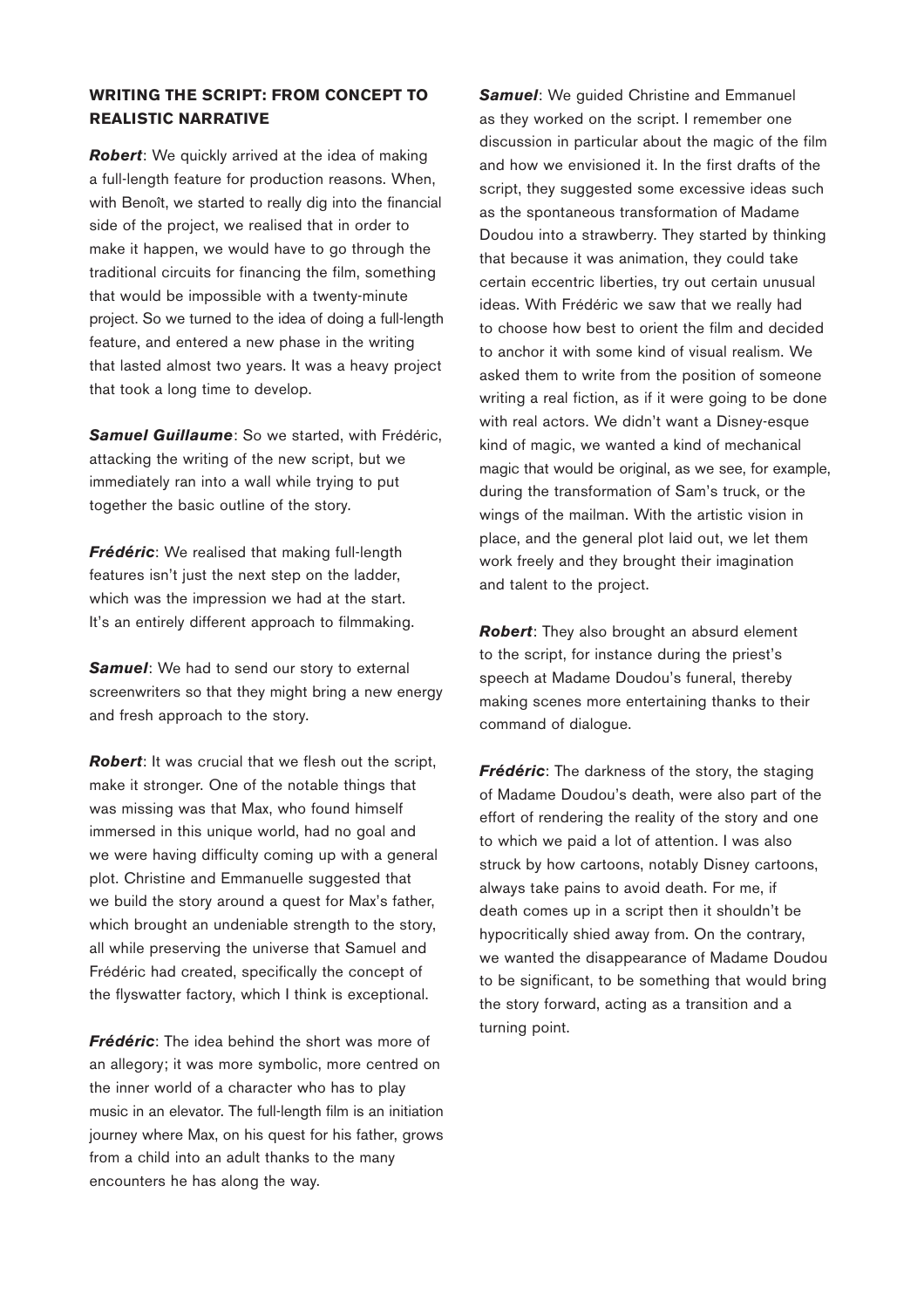# **WRITING THE SCRIPT: FROM CONCEPT TO REALISTIC NARRATIVE**

*Robert*: We quickly arrived at the idea of making a full-length feature for production reasons. When, with Benoît, we started to really dig into the financial side of the project, we realised that in order to make it happen, we would have to go through the traditional circuits for financing the film, something that would be impossible with a twenty-minute project. So we turned to the idea of doing a full-length feature, and entered a new phase in the writing that lasted almost two years. It was a heavy project that took a long time to develop.

**Samuel Guillaume:** So we started, with Frédéric, attacking the writing of the new script, but we immediately ran into a wall while trying to put together the basic outline of the story.

*Frédéric*: We realised that making full-length features isn't just the next step on the ladder, which was the impression we had at the start. It's an entirely different approach to filmmaking.

**Samuel:** We had to send our story to external screenwriters so that they might bring a new energy and fresh approach to the story.

*Robert*: It was crucial that we flesh out the script, make it stronger. One of the notable things that was missing was that Max, who found himself immersed in this unique world, had no goal and we were having difficulty coming up with a general plot. Christine and Emmanuelle suggested that we build the story around a quest for Max's father, which brought an undeniable strength to the story, all while preserving the universe that Samuel and Frédéric had created, specifically the concept of the flyswatter factory, which I think is exceptional.

*Frédéric*: The idea behind the short was more of an allegory; it was more symbolic, more centred on the inner world of a character who has to play music in an elevator. The full-length film is an initiation journey where Max, on his quest for his father, grows from a child into an adult thanks to the many encounters he has along the way.

**Samuel:** We quided Christine and Emmanuel as they worked on the script. I remember one discussion in particular about the magic of the film and how we envisioned it. In the first drafts of the script, they suggested some excessive ideas such as the spontaneous transformation of Madame Doudou into a strawberry. They started by thinking that because it was animation, they could take certain eccentric liberties, try out certain unusual ideas. With Frédéric we saw that we really had to choose how best to orient the film and decided to anchor it with some kind of visual realism. We asked them to write from the position of someone writing a real fiction, as if it were going to be done with real actors. We didn't want a Disney-esque kind of magic, we wanted a kind of mechanical magic that would be original, as we see, for example, during the transformation of Sam's truck, or the wings of the mailman. With the artistic vision in place, and the general plot laid out, we let them work freely and they brought their imagination and talent to the project.

*Robert*: They also brought an absurd element to the script, for instance during the priest's speech at Madame Doudou's funeral, thereby making scenes more entertaining thanks to their command of dialogue.

**Frédéric**: The darkness of the story, the staging of Madame Doudou's death, were also part of the effort of rendering the reality of the story and one to which we paid a lot of attention. I was also struck by how cartoons, notably Disney cartoons, always take pains to avoid death. For me, if death comes up in a script then it shouldn't be hypocritically shied away from. On the contrary, we wanted the disappearance of Madame Doudou to be significant, to be something that would bring the story forward, acting as a transition and a turning point.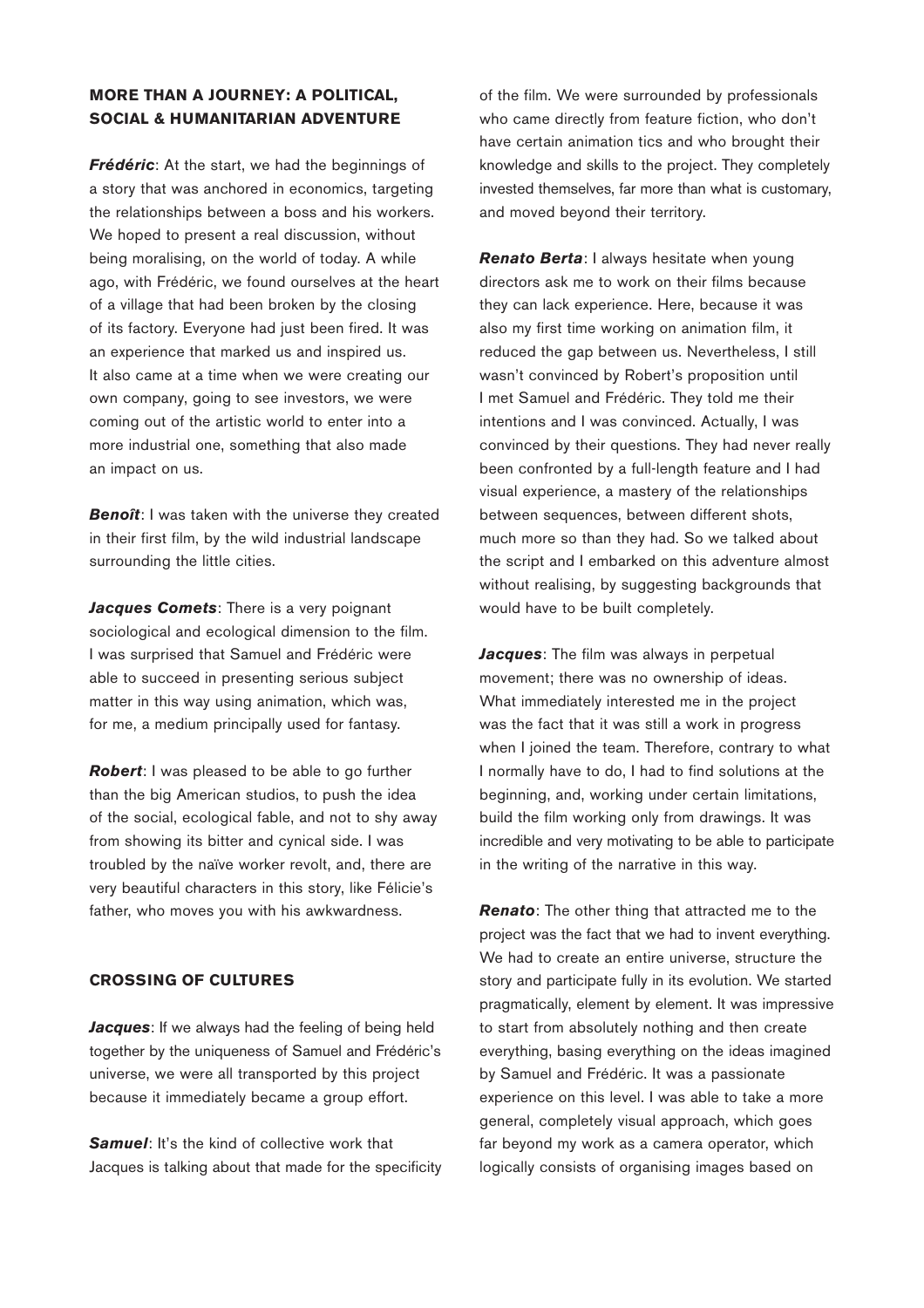## **MORE THAN A JOURNEY: A POLITICAL, SOCIAL & HUMANITARIAN ADVENTURE**

*Frédéric*: At the start, we had the beginnings of a story that was anchored in economics, targeting the relationships between a boss and his workers. We hoped to present a real discussion, without being moralising, on the world of today. A while ago, with Frédéric, we found ourselves at the heart of a village that had been broken by the closing of its factory. Everyone had just been fired. It was an experience that marked us and inspired us. It also came at a time when we were creating our own company, going to see investors, we were coming out of the artistic world to enter into a more industrial one, something that also made an impact on us.

**Benoît**: I was taken with the universe they created in their first film, by the wild industrial landscape surrounding the little cities.

*Jacques Comets: There is a very poignant* sociological and ecological dimension to the film. I was surprised that Samuel and Frédéric were able to succeed in presenting serious subject matter in this way using animation, which was, for me, a medium principally used for fantasy.

*Robert*: I was pleased to be able to go further than the big American studios, to push the idea of the social, ecological fable, and not to shy away from showing its bitter and cynical side. I was troubled by the naïve worker revolt, and, there are very beautiful characters in this story, like Félicie's father, who moves you with his awkwardness.

### **CROSSING OF CULTURES**

*Jacques*: If we always had the feeling of being held together by the uniqueness of Samuel and Frédéric's universe, we were all transported by this project because it immediately became a group effort.

**Samuel:** It's the kind of collective work that Jacques is talking about that made for the specificity of the film. We were surrounded by professionals who came directly from feature fiction, who don't have certain animation tics and who brought their knowledge and skills to the project. They completely invested themselves, far more than what is customary, and moved beyond their territory.

*Renato Berta*: I always hesitate when young directors ask me to work on their films because they can lack experience. Here, because it was also my first time working on animation film, it reduced the gap between us. Nevertheless, I still wasn't convinced by Robert's proposition until I met Samuel and Frédéric. They told me their intentions and I was convinced. Actually, I was convinced by their questions. They had never really been confronted by a full-length feature and I had visual experience, a mastery of the relationships between sequences, between different shots, much more so than they had. So we talked about the script and I embarked on this adventure almost without realising, by suggesting backgrounds that would have to be built completely.

*Jacques*: The film was always in perpetual movement; there was no ownership of ideas. What immediately interested me in the project was the fact that it was still a work in progress when I joined the team. Therefore, contrary to what I normally have to do, I had to find solutions at the beginning, and, working under certain limitations, build the film working only from drawings. It was incredible and very motivating to be able to participate in the writing of the narrative in this way.

**Renato**: The other thing that attracted me to the project was the fact that we had to invent everything. We had to create an entire universe, structure the story and participate fully in its evolution. We started pragmatically, element by element. It was impressive to start from absolutely nothing and then create everything, basing everything on the ideas imagined by Samuel and Frédéric. It was a passionate experience on this level. I was able to take a more general, completely visual approach, which goes far beyond my work as a camera operator, which logically consists of organising images based on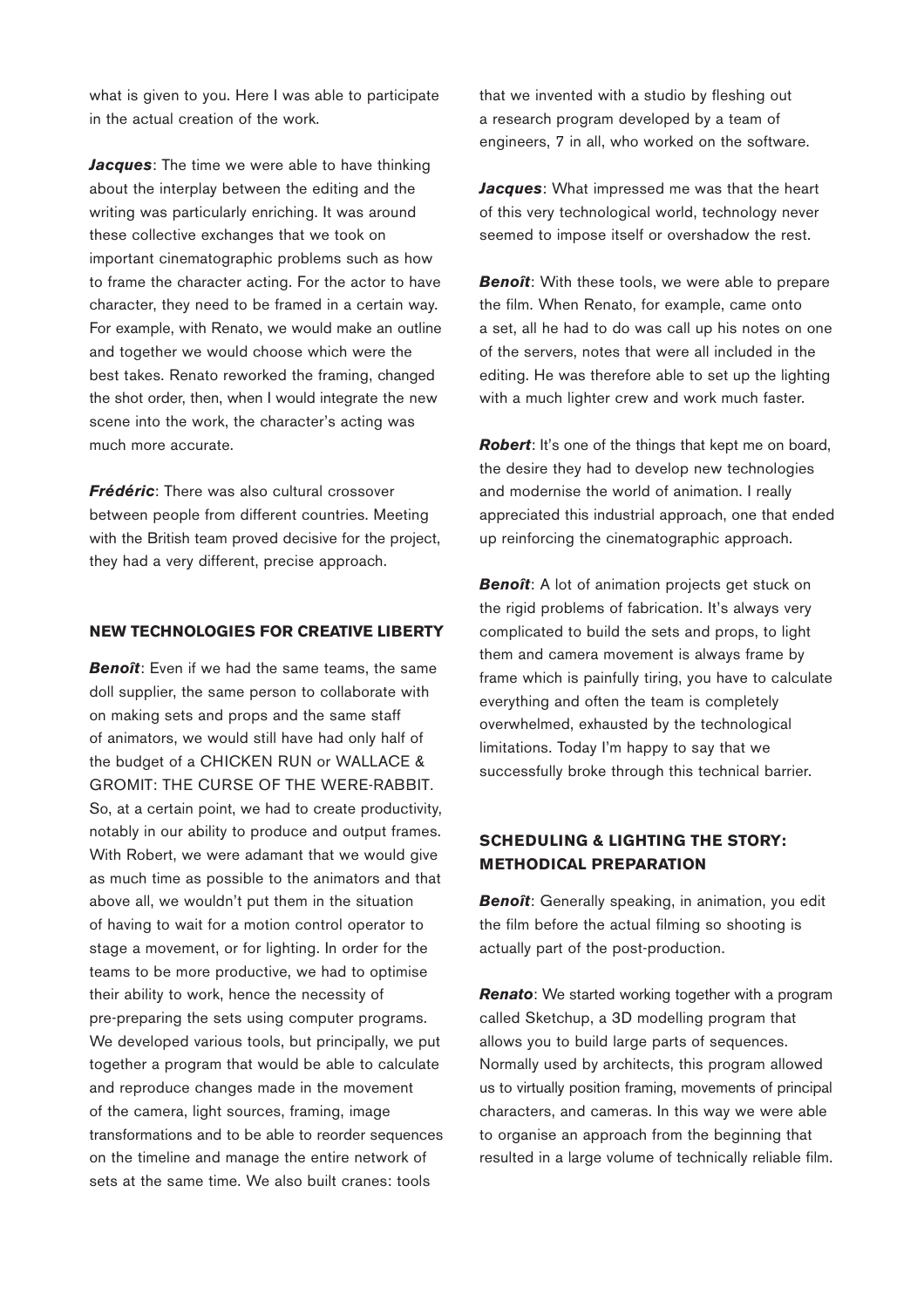what is given to you. Here I was able to participate in the actual creation of the work.

*Jacques*: The time we were able to have thinking about the interplay between the editing and the writing was particularly enriching. It was around these collective exchanges that we took on important cinematographic problems such as how to frame the character acting. For the actor to have character, they need to be framed in a certain way. For example, with Renato, we would make an outline and together we would choose which were the best takes. Renato reworked the framing, changed the shot order, then, when I would integrate the new scene into the work, the character's acting was much more accurate.

*Frédéric*: There was also cultural crossover between people from different countries. Meeting with the British team proved decisive for the project, they had a very different, precise approach.

## **NEW TECHNOLOGIES FOR CREATIVE LIBERTY**

**Benoît**: Even if we had the same teams, the same doll supplier, the same person to collaborate with on making sets and props and the same staff of animators, we would still have had only half of the budget of a CHICKEN RUN or WALLACE & GROMIT: THE CURSE OF THE WERE-RABBIT. So, at a certain point, we had to create productivity, notably in our ability to produce and output frames. With Robert, we were adamant that we would give as much time as possible to the animators and that above all, we wouldn't put them in the situation of having to wait for a motion control operator to stage a movement, or for lighting. In order for the teams to be more productive, we had to optimise their ability to work, hence the necessity of pre-preparing the sets using computer programs. We developed various tools, but principally, we put together a program that would be able to calculate and reproduce changes made in the movement of the camera, light sources, framing, image transformations and to be able to reorder sequences on the timeline and manage the entire network of sets at the same time. We also built cranes: tools

that we invented with a studio by fleshing out a research program developed by a team of engineers, 7 in all, who worked on the software.

*Jacques*: What impressed me was that the heart of this very technological world, technology never seemed to impose itself or overshadow the rest.

*Benoît:* With these tools, we were able to prepare the film. When Renato, for example, came onto a set, all he had to do was call up his notes on one of the servers, notes that were all included in the editing. He was therefore able to set up the lighting with a much lighter crew and work much faster.

**Robert**: It's one of the things that kept me on board, the desire they had to develop new technologies and modernise the world of animation. I really appreciated this industrial approach, one that ended up reinforcing the cinematographic approach.

*Benoît*: A lot of animation projects get stuck on the rigid problems of fabrication. It's always very complicated to build the sets and props, to light them and camera movement is always frame by frame which is painfully tiring, you have to calculate everything and often the team is completely overwhelmed, exhausted by the technological limitations. Today I'm happy to say that we successfully broke through this technical barrier.

## **SCHEDULING & LIGHTING THE STORY: METHODICAL PREPARATION**

**Benoît:** Generally speaking, in animation, you edit the film before the actual filming so shooting is actually part of the post-production.

*Renato:* We started working together with a program called Sketchup, a 3D modelling program that allows you to build large parts of sequences. Normally used by architects, this program allowed us to virtually position framing, movements of principal characters, and cameras. In this way we were able to organise an approach from the beginning that resulted in a large volume of technically reliable film.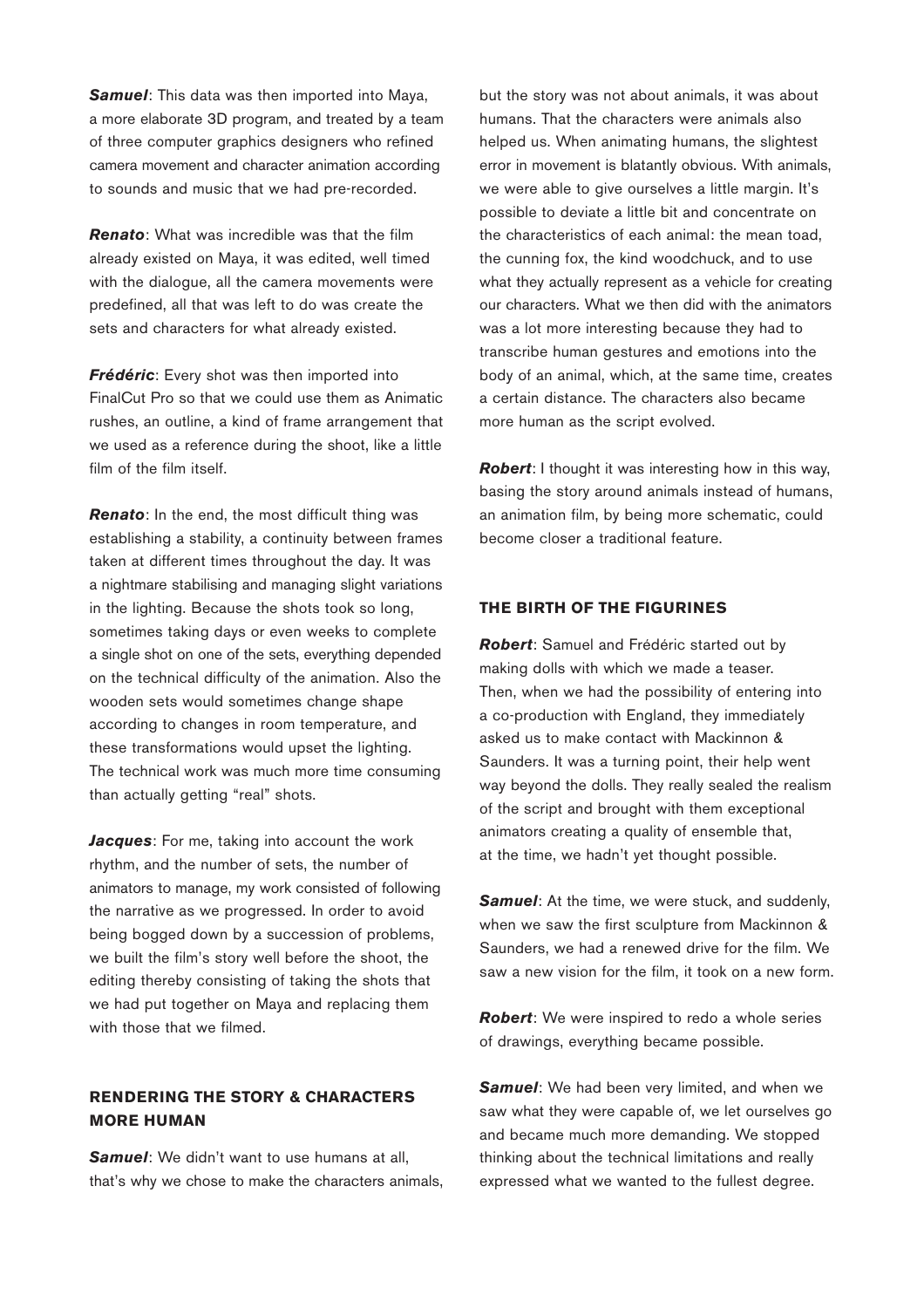*Samuel*: This data was then imported into Maya, a more elaborate 3D program, and treated by a team of three computer graphics designers who refined camera movement and character animation according to sounds and music that we had pre-recorded.

*Renato*: What was incredible was that the film already existed on Maya, it was edited, well timed with the dialogue, all the camera movements were predefined, all that was left to do was create the sets and characters for what already existed.

*Frédéric*: Every shot was then imported into FinalCut Pro so that we could use them as Animatic rushes, an outline, a kind of frame arrangement that we used as a reference during the shoot, like a little film of the film itself.

*Renato*: In the end, the most difficult thing was establishing a stability, a continuity between frames taken at different times throughout the day. It was a nightmare stabilising and managing slight variations in the lighting. Because the shots took so long, sometimes taking days or even weeks to complete a single shot on one of the sets, everything depended on the technical difficulty of the animation. Also the wooden sets would sometimes change shape according to changes in room temperature, and these transformations would upset the lighting. The technical work was much more time consuming than actually getting "real" shots.

*Jacques*: For me, taking into account the work rhythm, and the number of sets, the number of animators to manage, my work consisted of following the narrative as we progressed. In order to avoid being bogged down by a succession of problems, we built the film's story well before the shoot, the editing thereby consisting of taking the shots that we had put together on Maya and replacing them with those that we filmed.

# **RENDERING THE STORY & CHARACTERS MORE HUMAN**

*Samuel*: We didn't want to use humans at all, that's why we chose to make the characters animals, but the story was not about animals, it was about humans. That the characters were animals also helped us. When animating humans, the slightest error in movement is blatantly obvious. With animals, we were able to give ourselves a little margin. It's possible to deviate a little bit and concentrate on the characteristics of each animal: the mean toad, the cunning fox, the kind woodchuck, and to use what they actually represent as a vehicle for creating our characters. What we then did with the animators was a lot more interesting because they had to transcribe human gestures and emotions into the body of an animal, which, at the same time, creates a certain distance. The characters also became more human as the script evolved.

*Robert*: I thought it was interesting how in this way, basing the story around animals instead of humans, an animation film, by being more schematic, could become closer a traditional feature.

### **THE BIRTH OF THE FIGURINES**

*Robert*: Samuel and Frédéric started out by making dolls with which we made a teaser. Then, when we had the possibility of entering into a co-production with England, they immediately asked us to make contact with Mackinnon & Saunders. It was a turning point, their help went way beyond the dolls. They really sealed the realism of the script and brought with them exceptional animators creating a quality of ensemble that, at the time, we hadn't yet thought possible.

**Samuel:** At the time, we were stuck, and suddenly, when we saw the first sculpture from Mackinnon & Saunders, we had a renewed drive for the film. We saw a new vision for the film, it took on a new form.

*Robert*: We were inspired to redo a whole series of drawings, everything became possible.

**Samuel:** We had been very limited, and when we saw what they were capable of, we let ourselves go and became much more demanding. We stopped thinking about the technical limitations and really expressed what we wanted to the fullest degree.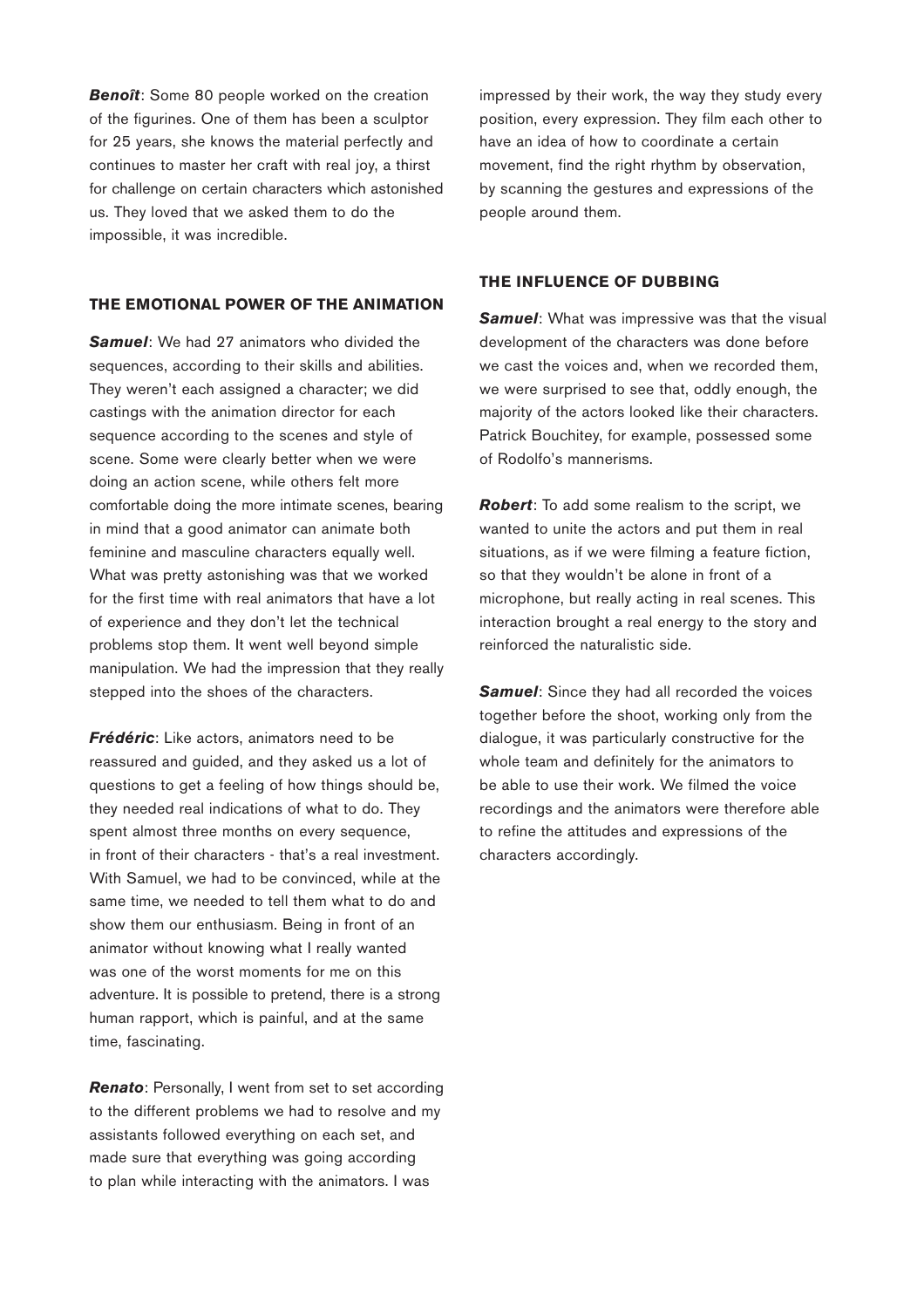**Benoît**: Some 80 people worked on the creation of the figurines. One of them has been a sculptor for 25 years, she knows the material perfectly and continues to master her craft with real joy, a thirst for challenge on certain characters which astonished us. They loved that we asked them to do the impossible, it was incredible.

#### **THE EMOTIONAL POWER OF THE ANIMATION**

*Samuel*: We had 27 animators who divided the sequences, according to their skills and abilities. They weren't each assigned a character; we did castings with the animation director for each sequence according to the scenes and style of scene. Some were clearly better when we were doing an action scene, while others felt more comfortable doing the more intimate scenes, bearing in mind that a good animator can animate both feminine and masculine characters equally well. What was pretty astonishing was that we worked for the first time with real animators that have a lot of experience and they don't let the technical problems stop them. It went well beyond simple manipulation. We had the impression that they really stepped into the shoes of the characters.

*Frédéric*: Like actors, animators need to be reassured and guided, and they asked us a lot of questions to get a feeling of how things should be, they needed real indications of what to do. They spent almost three months on every sequence, in front of their characters - that's a real investment. With Samuel, we had to be convinced, while at the same time, we needed to tell them what to do and show them our enthusiasm. Being in front of an animator without knowing what I really wanted was one of the worst moments for me on this adventure. It is possible to pretend, there is a strong human rapport, which is painful, and at the same time, fascinating.

**Renato**: Personally, I went from set to set according to the different problems we had to resolve and my assistants followed everything on each set, and made sure that everything was going according to plan while interacting with the animators. I was

impressed by their work, the way they study every position, every expression. They film each other to have an idea of how to coordinate a certain movement, find the right rhythm by observation, by scanning the gestures and expressions of the people around them.

#### **THE INFLUENCE OF DUBBING**

**Samuel:** What was impressive was that the visual development of the characters was done before we cast the voices and, when we recorded them, we were surprised to see that, oddly enough, the majority of the actors looked like their characters. Patrick Bouchitey, for example, possessed some of Rodolfo's mannerisms.

*Robert*: To add some realism to the script, we wanted to unite the actors and put them in real situations, as if we were filming a feature fiction, so that they wouldn't be alone in front of a microphone, but really acting in real scenes. This interaction brought a real energy to the story and reinforced the naturalistic side.

**Samuel:** Since they had all recorded the voices together before the shoot, working only from the dialogue, it was particularly constructive for the whole team and definitely for the animators to be able to use their work. We filmed the voice recordings and the animators were therefore able to refine the attitudes and expressions of the characters accordingly.